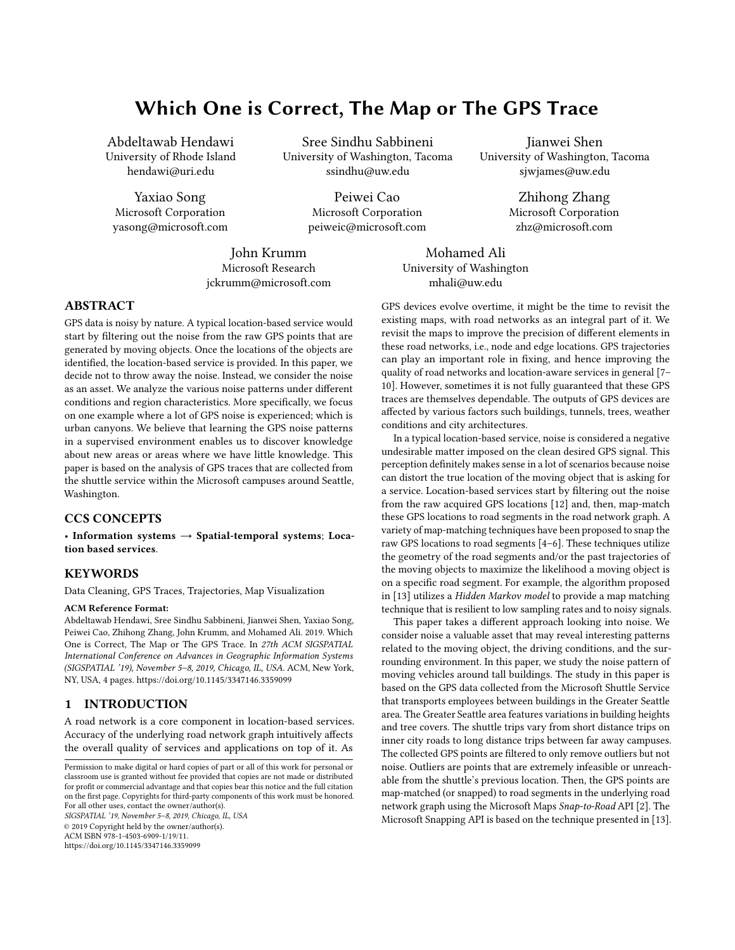# Which One is Correct, The Map or The GPS Trace

Abdeltawab Hendawi University of Rhode Island hendawi@uri.edu

Yaxiao Song Microsoft Corporation yasong@microsoft.com

Sree Sindhu Sabbineni University of Washington, Tacoma ssindhu@uw.edu

> Peiwei Cao Microsoft Corporation peiweic@microsoft.com

John Krumm Microsoft Research jckrumm@microsoft.com

Mohamed Ali University of Washington mhali@uw.edu

Jianwei Shen University of Washington, Tacoma sjwjames@uw.edu

Zhihong Zhang

Microsoft Corporation zhz@microsoft.com

ABSTRACT

GPS data is noisy by nature. A typical location-based service would start by filtering out the noise from the raw GPS points that are generated by moving objects. Once the locations of the objects are identified, the location-based service is provided. In this paper, we decide not to throw away the noise. Instead, we consider the noise as an asset. We analyze the various noise patterns under different conditions and region characteristics. More specifically, we focus on one example where a lot of GPS noise is experienced; which is urban canyons. We believe that learning the GPS noise patterns in a supervised environment enables us to discover knowledge about new areas or areas where we have little knowledge. This paper is based on the analysis of GPS traces that are collected from the shuttle service within the Microsoft campuses around Seattle, Washington.

## CCS CONCEPTS

• Information systems  $\rightarrow$  Spatial-temporal systems; Location based services.

## **KEYWORDS**

Data Cleaning, GPS Traces, Trajectories, Map Visualization

#### ACM Reference Format:

Abdeltawab Hendawi, Sree Sindhu Sabbineni, Jianwei Shen, Yaxiao Song, Peiwei Cao, Zhihong Zhang, John Krumm, and Mohamed Ali. 2019. Which One is Correct, The Map or The GPS Trace. In 27th ACM SIGSPATIAL International Conference on Advances in Geographic Information Systems (SIGSPATIAL '19), November 5–8, 2019, Chicago, IL, USA. ACM, New York, NY, USA, [4](#page-3-0) pages.<https://doi.org/10.1145/3347146.3359099>

### 1 INTRODUCTION

A road network is a core component in location-based services. Accuracy of the underlying road network graph intuitively affects the overall quality of services and applications on top of it. As

SIGSPATIAL '19, November 5–8, 2019, Chicago, IL, USA © 2019 Copyright held by the owner/author(s). ACM ISBN 978-1-4503-6909-1/19/11. <https://doi.org/10.1145/3347146.3359099>

GPS devices evolve overtime, it might be the time to revisit the existing maps, with road networks as an integral part of it. We revisit the maps to improve the precision of different elements in these road networks, i.e., node and edge locations. GPS trajectories can play an important role in fixing, and hence improving the quality of road networks and location-aware services in general [\[7–](#page-3-1) [10\]](#page-3-2). However, sometimes it is not fully guaranteed that these GPS traces are themselves dependable. The outputs of GPS devices are affected by various factors such buildings, tunnels, trees, weather conditions and city architectures.

In a typical location-based service, noise is considered a negative undesirable matter imposed on the clean desired GPS signal. This perception definitely makes sense in a lot of scenarios because noise can distort the true location of the moving object that is asking for a service. Location-based services start by filtering out the noise from the raw acquired GPS locations [\[12\]](#page-3-3) and, then, map-match these GPS locations to road segments in the road network graph. A variety of map-matching techniques have been proposed to snap the raw GPS locations to road segments [\[4–](#page-3-4)[6\]](#page-3-5). These techniques utilize the geometry of the road segments and/or the past trajectories of the moving objects to maximize the likelihood a moving object is on a specific road segment. For example, the algorithm proposed in [\[13\]](#page-3-6) utilizes a Hidden Markov model to provide a map matching technique that is resilient to low sampling rates and to noisy signals.

This paper takes a different approach looking into noise. We consider noise a valuable asset that may reveal interesting patterns related to the moving object, the driving conditions, and the surrounding environment. In this paper, we study the noise pattern of moving vehicles around tall buildings. The study in this paper is based on the GPS data collected from the Microsoft Shuttle Service that transports employees between buildings in the Greater Seattle area. The Greater Seattle area features variations in building heights and tree covers. The shuttle trips vary from short distance trips on inner city roads to long distance trips between far away campuses. The collected GPS points are filtered to only remove outliers but not noise. Outliers are points that are extremely infeasible or unreachable from the shuttle's previous location. Then, the GPS points are map-matched (or snapped) to road segments in the underlying road network graph using the Microsoft Maps Snap-to-Road API [\[2\]](#page-3-7). The Microsoft Snapping API is based on the technique presented in [\[13\]](#page-3-6).

Permission to make digital or hard copies of part or all of this work for personal or classroom use is granted without fee provided that copies are not made or distributed for profit or commercial advantage and that copies bear this notice and the full citation on the first page. Copyrights for third-party components of this work must be honored. For all other uses, contact the owner/author(s).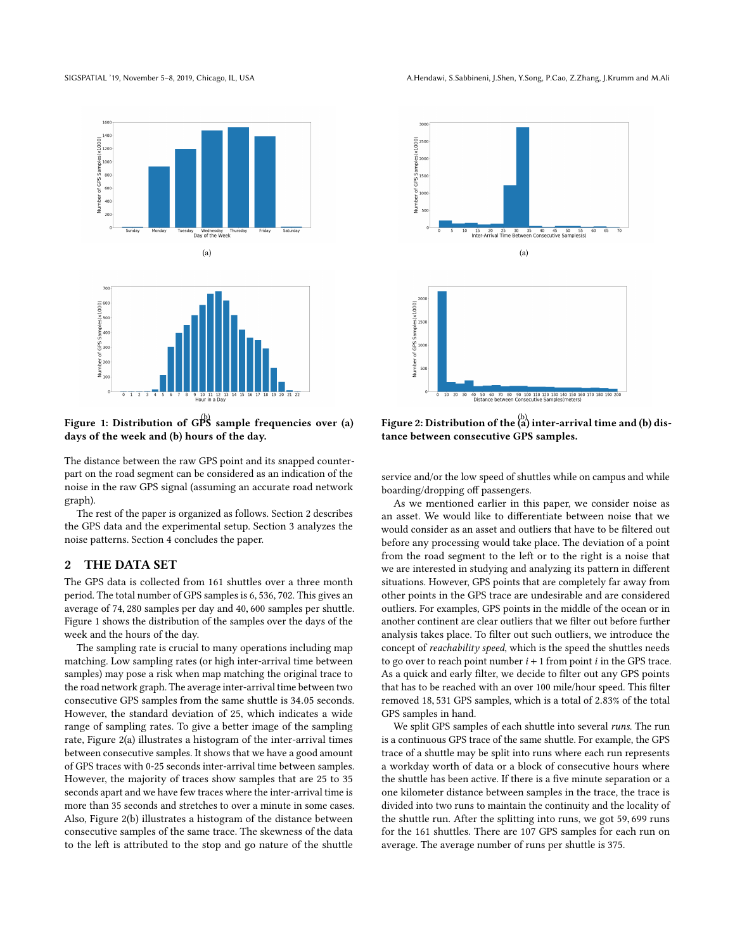<span id="page-1-1"></span>

Figure 1: Distribution of GPS sample frequencies over (a) days of the week and (b) hours of the day.

The distance between the raw GPS point and its snapped counterpart on the road segment can be considered as an indication of the noise in the raw GPS signal (assuming an accurate road network graph).

The rest of the paper is organized as follows. Section [2](#page-1-0) describes the GPS data and the experimental setup. Section [3](#page-2-0) analyzes the noise patterns. Section [4](#page-3-8) concludes the paper.

#### <span id="page-1-0"></span>2 THE DATA SET

The GPS data is collected from 161 shuttles over a three month period. The total number of GPS samples is <sup>6</sup>, <sup>536</sup>, 702. This gives an average of <sup>74</sup>, <sup>280</sup> samples per day and <sup>40</sup>, <sup>600</sup> samples per shuttle. Figure [1](#page-1-1) shows the distribution of the samples over the days of the week and the hours of the day.

The sampling rate is crucial to many operations including map matching. Low sampling rates (or high inter-arrival time between samples) may pose a risk when map matching the original trace to the road network graph. The average inter-arrival time between two consecutive GPS samples from the same shuttle is <sup>34</sup>.<sup>05</sup> seconds. However, the standard deviation of 25, which indicates a wide range of sampling rates. To give a better image of the sampling rate, Figure [2\(](#page-1-2)a) illustrates a histogram of the inter-arrival times between consecutive samples. It shows that we have a good amount of GPS traces with 0-25 seconds inter-arrival time between samples. However, the majority of traces show samples that are 25 to 35 seconds apart and we have few traces where the inter-arrival time is more than 35 seconds and stretches to over a minute in some cases. Also, Figure [2\(](#page-1-2)b) illustrates a histogram of the distance between consecutive samples of the same trace. The skewness of the data to the left is attributed to the stop and go nature of the shuttle

<span id="page-1-2"></span>

Figure 2: Distribution of the  $\begin{pmatrix} b \\ a \end{pmatrix}$  inter-arrival time and (b) distance between consecutive GPS samples.

service and/or the low speed of shuttles while on campus and while boarding/dropping off passengers.

As we mentioned earlier in this paper, we consider noise as an asset. We would like to differentiate between noise that we would consider as an asset and outliers that have to be filtered out before any processing would take place. The deviation of a point from the road segment to the left or to the right is a noise that we are interested in studying and analyzing its pattern in different situations. However, GPS points that are completely far away from other points in the GPS trace are undesirable and are considered outliers. For examples, GPS points in the middle of the ocean or in another continent are clear outliers that we filter out before further analysis takes place. To filter out such outliers, we introduce the concept of reachability speed, which is the speed the shuttles needs to go over to reach point number  $i + 1$  from point i in the GPS trace. As a quick and early filter, we decide to filter out any GPS points that has to be reached with an over 100 mile/hour speed. This filter removed <sup>18</sup>, <sup>531</sup> GPS samples, which is a total of <sup>2</sup>.83% of the total GPS samples in hand.

We split GPS samples of each shuttle into several runs. The run is a continuous GPS trace of the same shuttle. For example, the GPS trace of a shuttle may be split into runs where each run represents a workday worth of data or a block of consecutive hours where the shuttle has been active. If there is a five minute separation or a one kilometer distance between samples in the trace, the trace is divided into two runs to maintain the continuity and the locality of the shuttle run. After the splitting into runs, we got <sup>59</sup>, <sup>699</sup> runs for the 161 shuttles. There are 107 GPS samples for each run on average. The average number of runs per shuttle is 375.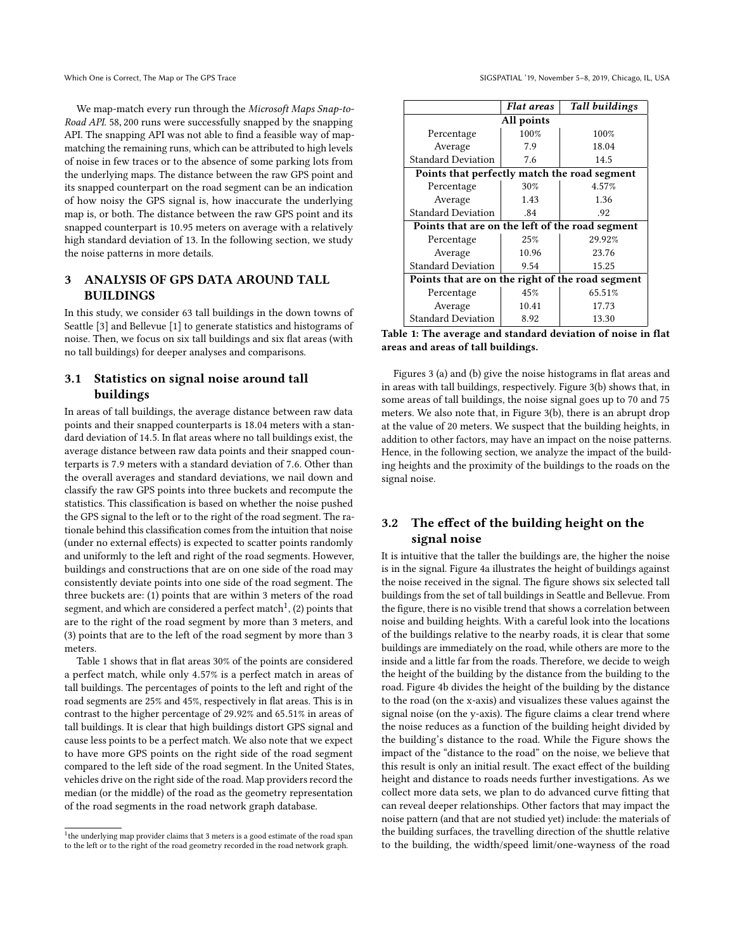We map-match every run through the Microsoft Maps Snap-to-Road API. <sup>58</sup>, <sup>200</sup> runs were successfully snapped by the snapping API. The snapping API was not able to find a feasible way of mapmatching the remaining runs, which can be attributed to high levels of noise in few traces or to the absence of some parking lots from the underlying maps. The distance between the raw GPS point and its snapped counterpart on the road segment can be an indication of how noisy the GPS signal is, how inaccurate the underlying map is, or both. The distance between the raw GPS point and its snapped counterpart is <sup>10</sup>.<sup>95</sup> meters on average with a relatively high standard deviation of 13. In the following section, we study the noise patterns in more details.

# <span id="page-2-0"></span>3 ANALYSIS OF GPS DATA AROUND TALL **BUILDINGS**

In this study, we consider 63 tall buildings in the down towns of Seattle [\[3\]](#page-3-9) and Bellevue [\[1\]](#page-3-10) to generate statistics and histograms of noise. Then, we focus on six tall buildings and six flat areas (with no tall buildings) for deeper analyses and comparisons.

# 3.1 Statistics on signal noise around tall buildings

In areas of tall buildings, the average distance between raw data points and their snapped counterparts is <sup>18</sup>.<sup>04</sup> meters with a standard deviation of <sup>14</sup>.5. In flat areas where no tall buildings exist, the average distance between raw data points and their snapped counterparts is <sup>7</sup>.<sup>9</sup> meters with a standard deviation of <sup>7</sup>.6. Other than the overall averages and standard deviations, we nail down and classify the raw GPS points into three buckets and recompute the statistics. This classification is based on whether the noise pushed the GPS signal to the left or to the right of the road segment. The rationale behind this classification comes from the intuition that noise (under no external effects) is expected to scatter points randomly and uniformly to the left and right of the road segments. However, buildings and constructions that are on one side of the road may consistently deviate points into one side of the road segment. The three buckets are: (1) points that are within 3 meters of the road segment, and which are considered a perfect match $^1$  $^1$ , (2) points that are to the right of the road segment by more than 3 meters, and (3) points that are to the left of the road segment by more than 3 meters.

Table [1](#page-2-2) shows that in flat areas 30% of the points are considered a perfect match, while only <sup>4</sup>.57% is a perfect match in areas of tall buildings. The percentages of points to the left and right of the road segments are 25% and 45%, respectively in flat areas. This is in contrast to the higher percentage of <sup>29</sup>.92% and <sup>65</sup>.51% in areas of tall buildings. It is clear that high buildings distort GPS signal and cause less points to be a perfect match. We also note that we expect to have more GPS points on the right side of the road segment compared to the left side of the road segment. In the United States, vehicles drive on the right side of the road. Map providers record the median (or the middle) of the road as the geometry representation of the road segments in the road network graph database.

Which One is Correct, The Map or The GPS Trace SIGSPATIAL '19, November 5–8, 2019, Chicago, IL, USA

<span id="page-2-2"></span>

|                                                  | <b>Flat areas</b> | <b>Tall buildings</b> |
|--------------------------------------------------|-------------------|-----------------------|
| All points                                       |                   |                       |
| Percentage                                       | 100%              | 100%                  |
| Average                                          | 7.9               | 18.04                 |
| <b>Standard Deviation</b>                        | 7.6               | 14.5                  |
| Points that perfectly match the road segment     |                   |                       |
| Percentage                                       | 30%               | 4.57%                 |
| Average                                          | 1.43              | 1.36                  |
| <b>Standard Deviation</b>                        | .84               | .92                   |
| Points that are on the left of the road segment  |                   |                       |
| Percentage                                       | 25%               | 29.92%                |
| Average                                          | 10.96             | 23.76                 |
| <b>Standard Deviation</b>                        | 9.54              | 15.25                 |
| Points that are on the right of the road segment |                   |                       |
| Percentage                                       | 45%               | 65.51%                |
| Average                                          | 10.41             | 17.73                 |
| <b>Standard Deviation</b>                        | 8.92              | 13.30                 |

Table 1: The average and standard deviation of noise in flat areas and areas of tall buildings.

Figures [3](#page-3-11) (a) and (b) give the noise histograms in flat areas and in areas with tall buildings, respectively. Figure [3\(](#page-3-11)b) shows that, in some areas of tall buildings, the noise signal goes up to 70 and 75 meters. We also note that, in Figure [3\(](#page-3-11)b), there is an abrupt drop at the value of 20 meters. We suspect that the building heights, in addition to other factors, may have an impact on the noise patterns. Hence, in the following section, we analyze the impact of the building heights and the proximity of the buildings to the roads on the signal noise.

# 3.2 The effect of the building height on the signal noise

It is intuitive that the taller the buildings are, the higher the noise is in the signal. Figure [4a](#page-3-12) illustrates the height of buildings against the noise received in the signal. The figure shows six selected tall buildings from the set of tall buildings in Seattle and Bellevue. From the figure, there is no visible trend that shows a correlation between noise and building heights. With a careful look into the locations of the buildings relative to the nearby roads, it is clear that some buildings are immediately on the road, while others are more to the inside and a little far from the roads. Therefore, we decide to weigh the height of the building by the distance from the building to the road. Figure [4b](#page-3-12) divides the height of the building by the distance to the road (on the x-axis) and visualizes these values against the signal noise (on the y-axis). The figure claims a clear trend where the noise reduces as a function of the building height divided by the building's distance to the road. While the Figure shows the impact of the "distance to the road" on the noise, we believe that this result is only an initial result. The exact effect of the building height and distance to roads needs further investigations. As we collect more data sets, we plan to do advanced curve fitting that can reveal deeper relationships. Other factors that may impact the noise pattern (and that are not studied yet) include: the materials of the building surfaces, the travelling direction of the shuttle relative to the building, the width/speed limit/one-wayness of the road

<span id="page-2-1"></span><sup>&</sup>lt;sup>1</sup>the underlying map provider claims that 3 meters is a good estimate of the road span to the left or to the right of the road geometry recorded in the road network graph.